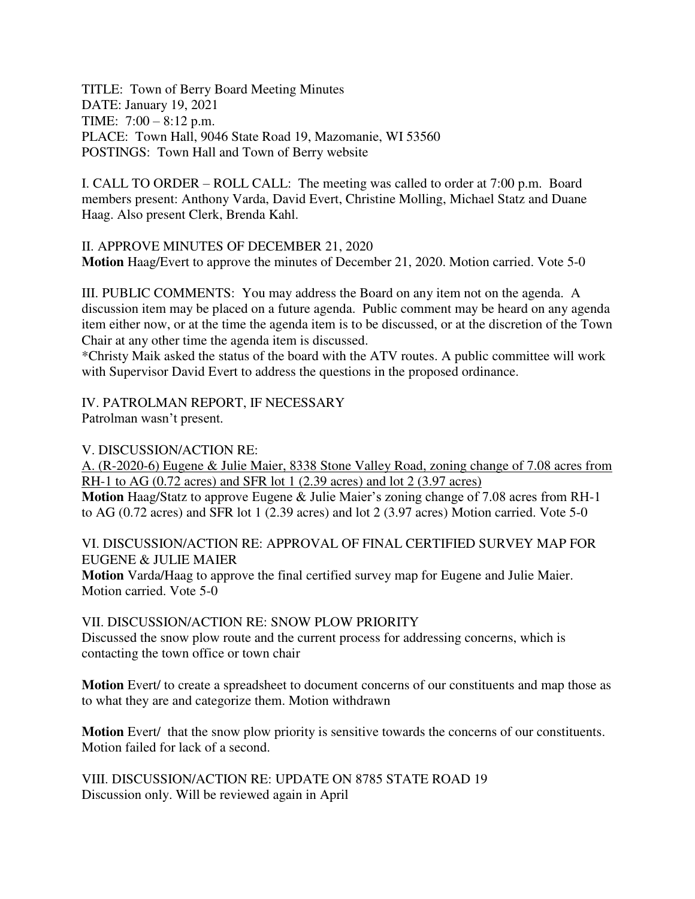TITLE: Town of Berry Board Meeting Minutes DATE: January 19, 2021 TIME: 7:00 – 8:12 p.m. PLACE: Town Hall, 9046 State Road 19, Mazomanie, WI 53560 POSTINGS: Town Hall and Town of Berry website

I. CALL TO ORDER – ROLL CALL: The meeting was called to order at 7:00 p.m. Board members present: Anthony Varda, David Evert, Christine Molling, Michael Statz and Duane Haag. Also present Clerk, Brenda Kahl.

II. APPROVE MINUTES OF DECEMBER 21, 2020 **Motion** Haag/Evert to approve the minutes of December 21, 2020. Motion carried. Vote 5-0

III. PUBLIC COMMENTS: You may address the Board on any item not on the agenda. A discussion item may be placed on a future agenda. Public comment may be heard on any agenda item either now, or at the time the agenda item is to be discussed, or at the discretion of the Town Chair at any other time the agenda item is discussed.

\*Christy Maik asked the status of the board with the ATV routes. A public committee will work with Supervisor David Evert to address the questions in the proposed ordinance.

IV. PATROLMAN REPORT, IF NECESSARY

Patrolman wasn't present.

### V. DISCUSSION/ACTION RE:

A. (R-2020-6) Eugene & Julie Maier, 8338 Stone Valley Road, zoning change of 7.08 acres from RH-1 to AG  $(0.72 \text{ acres})$  and SFR lot 1  $(2.39 \text{ acres})$  and lot 2  $(3.97 \text{ acres})$ 

**Motion** Haag/Statz to approve Eugene & Julie Maier's zoning change of 7.08 acres from RH-1 to AG (0.72 acres) and SFR lot 1 (2.39 acres) and lot 2 (3.97 acres) Motion carried. Vote 5-0

## VI. DISCUSSION/ACTION RE: APPROVAL OF FINAL CERTIFIED SURVEY MAP FOR EUGENE & JULIE MAIER

**Motion** Varda/Haag to approve the final certified survey map for Eugene and Julie Maier. Motion carried. Vote 5-0

VII. DISCUSSION/ACTION RE: SNOW PLOW PRIORITY

Discussed the snow plow route and the current process for addressing concerns, which is contacting the town office or town chair

**Motion** Evert/ to create a spreadsheet to document concerns of our constituents and map those as to what they are and categorize them. Motion withdrawn

**Motion** Evert/ that the snow plow priority is sensitive towards the concerns of our constituents. Motion failed for lack of a second.

VIII. DISCUSSION/ACTION RE: UPDATE ON 8785 STATE ROAD 19 Discussion only. Will be reviewed again in April